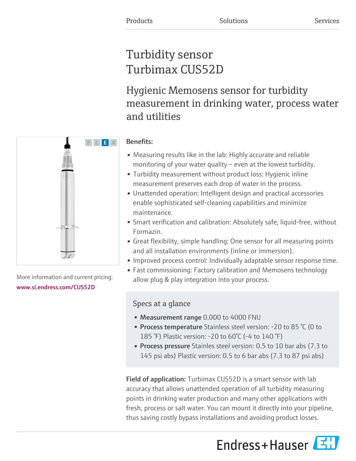# Turbidity sensor Turbimax CUS52D

Hygienic Memosens sensor for turbidity measurement in drinking water, process water and utilities



- Measuring results like in the lab: Highly accurate and reliable monitoring of your water quality – even at the lowest turbidity.
- Turbidity measurement without product loss: Hygienic inline measurement preserves each drop of water in the process.
- Unattended operation: Intelligent design and practical accessories enable sophisticated self-cleaning capabilities and minimize maintenance.
- Smart verification and calibration: Absolutely safe, liquid-free, without Formazin.
- Great flexibility, simple handling: One sensor for all measuring points and all installation environments (inline or immersion).
- Improved process control: Individually adaptable sensor response time.
- Fast commissioning: Factory calibration and Memosens technology allow plug & play integration into your process.

# Specs at a glance

- Measurement range 0.000 to 4000 FNU
- Process temperature Stainless steel version: -20 to 85 °C (0 to 185 °F) Plastic version: -20 to 60°C (-4 to 140 °F)
- **Process pressure** Stainles steel version: 0.5 to 10 bar abs (7.3 to 145 psi abs) Plastic version: 0.5 to 6 bar abs (7.3 to 87 psi abs)

Field of application: Turbimax CUS52D is a smart sensor with lab accuracy that allows unattended operation of all turbidity measuring points in drinking water production and many other applications with fresh, process or salt water. You can mount it directly into your pipeline, thus saving costly bypass installations and avoiding product losses.





More information and current pricing: [www.si.endress.com/CUS52D](https://www.si.endress.com/CUS52D)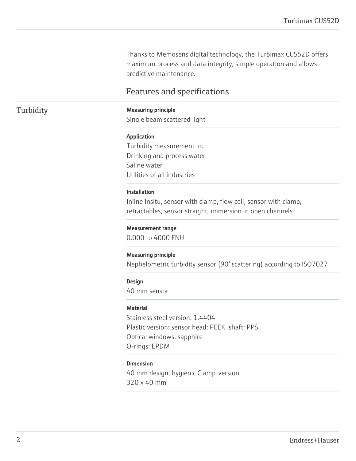Thanks to Memosens digital technology, the Turbimax CUS52D offers maximum process and data integrity, simple operation and allows predictive maintenance.

## Features and specifications

### Turbidity **Measuring principle**

Single beam scattered light

#### Application

Turbidity measurement in: Drinking and process water Saline water Utilities of all industries

#### Installation

Inline Insitu, sensor with clamp, flow cell, sensor with clamp, retractables, sensor straight, immersion in open channels

#### Measurement range

0.000 to 4000 FNU

#### Measuring principle

Nephelometric turbidity sensor (90° scattering) according to ISO7027

#### Design

40 mm sensor

#### **Material**

Stainless steel version: 1.4404 Plastic version: sensor head: PEEK, shaft: PPS Optical windows: sapphire O-rings: EPDM

#### Dimension

40 mm design, hygienic Clamp-version 320 x 40 mm